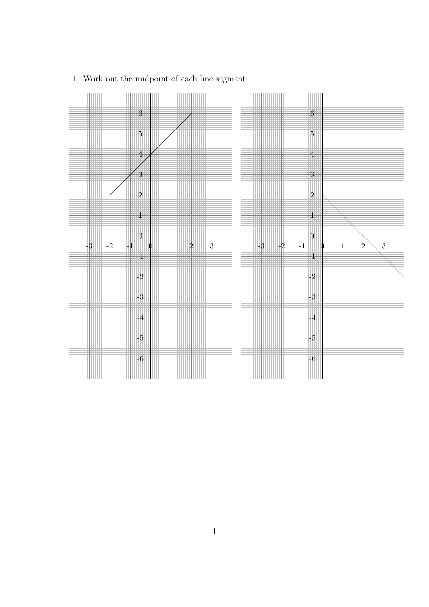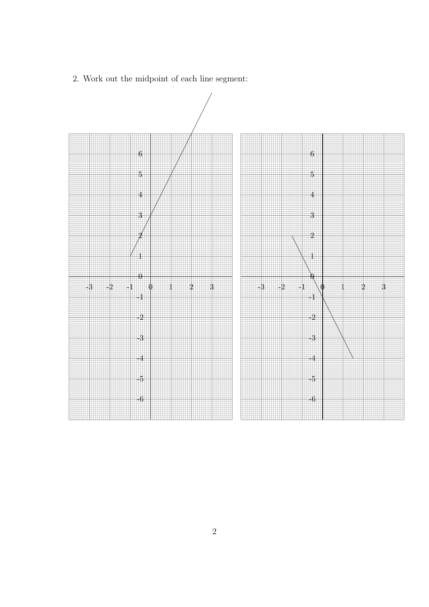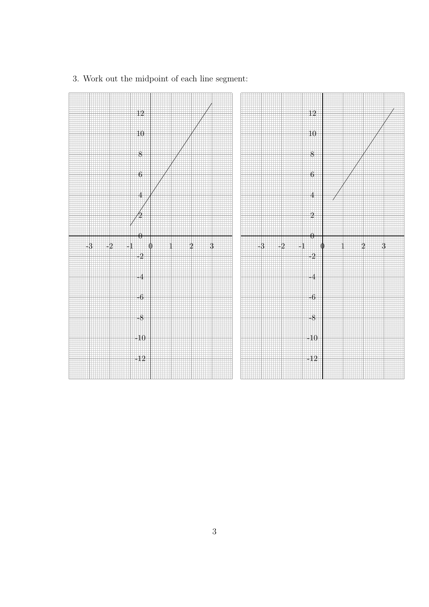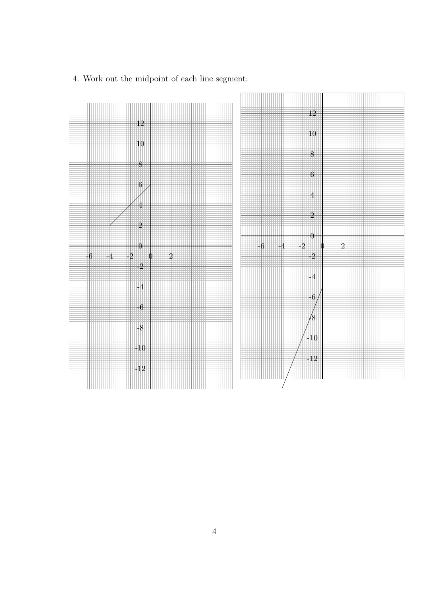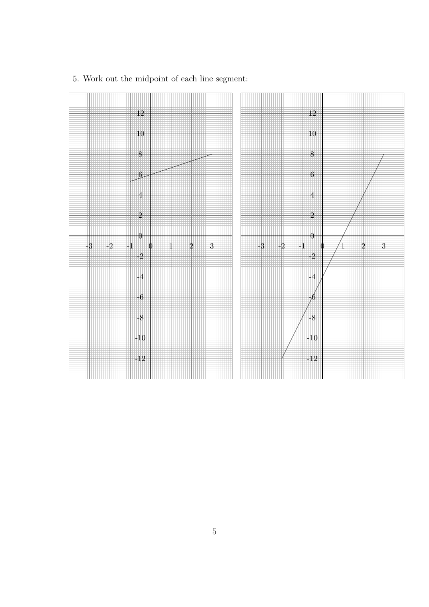

5. Work out the midpoint of each line segment: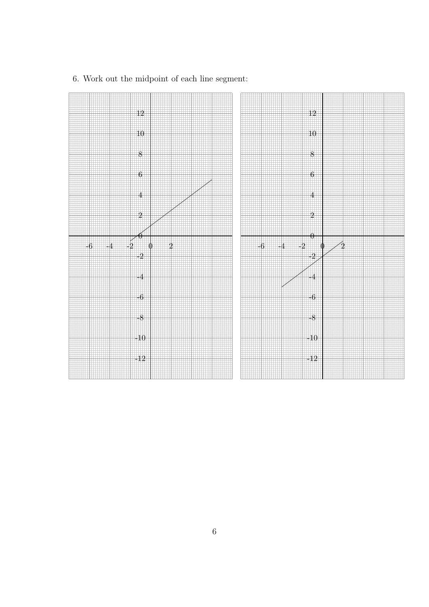

6. Work out the midpoint of each line segment: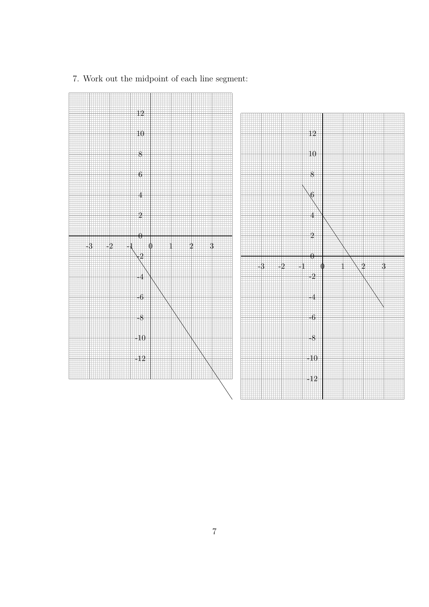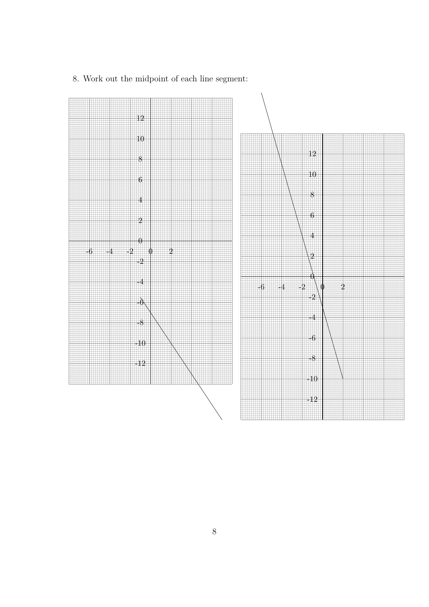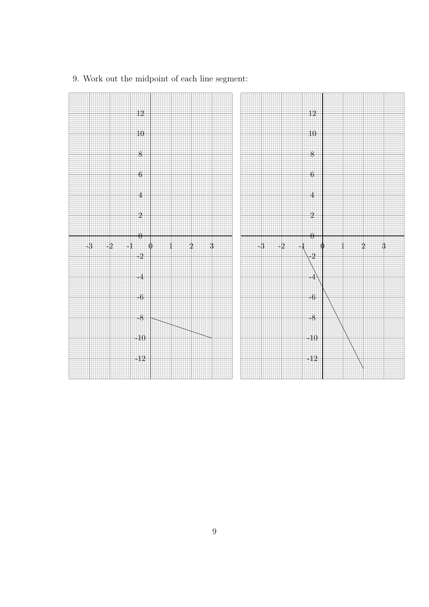